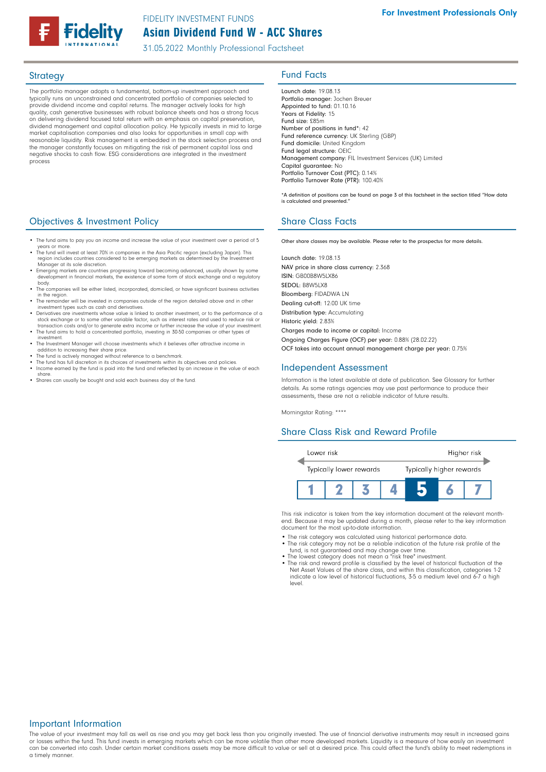The portfolio manager adopts a fundamental, bottom-up investment approach and typically runs an unconstrained and concentrated portfolio of companies selected to provide dividend income and capital returns. The manager actively looks for high quality, cash generative businesses with robust balance sheets and has a strong focus on delivering dividend focused total return with an emphasis on capital preservation, dividend management and capital allocation policy. He typically invests in mid to large market capitalisation companies and also looks for opportunities in small cap with reasonable liquidity. Risk management is embedded in the stock selection process and the manager constantly focuses on mitigating the risk of permanent capital loss and negative shocks to cash flow. ESG considerations are integrated in the investment process

# **Objectives & Investment Policy Share Class Facts** Share Class Facts

- The fund aims to pay you an income and increase the value of your investment over a period of 5
- years or more. The fund will invest at least 70% in companies in the Asia Pacific region (excluding Japan). This region includes countries considered to be emerging markets as determined by the Investr
- Manager at its sole discretion. Emerging markets are countries progressing toward becoming advanced, usually shown by some development in financial markets, the existence of some form of stock exchange and a regulatory body.
- The companies will be either listed, incorporated, domiciled, or have significant business activities
- in the region. The remainder will be invested in companies outside of the region detailed above and in other investment types such as cash and derivatives.
- Derivatives are investments whose value is linked to another investment, or to the performance of a stock exchange or to some other variable factor, such as interest rates and used to reduce risk or
- transaction costs and/or to generate extra income or further increase the value of your investment. The fund aims to hold a concentrated portfolio, investing in 30-50 companies or other types of investment.
- The Investment Manager will choose investments which it believes offer attractive income in addition to increasing their share price.
- 
- The fund is actively managed without reference to a benchmark.<br>• The fund has full discretion in its choices of investments within its objectives and policies.<br>• Income earned by the fund is paid into the fund and reflec share.
- Shares can usually be bought and sold each business day of the fund.

# Strategy **Fund Facts**

Launch date: 19.08.13 Portfolio manager: Jochen Breuer Appointed to fund: 01.10.16 Years at Fidelity: 15 Fund size: £85m Number of positions in fund\*: 42 Fund reference currency: UK Sterling (GBP) Fund domicile: United Kingdom Fund legal structure: OEIC Management company: FIL Investment Services (UK) Limited Capital guarantee: No Portfolio Turnover Cost (PTC): 0.14% Portfolio Turnover Rate (PTR): 100.40%

\*A definition of positions can be found on page 3 of this factsheet in the section titled "How data is calculated and presented."

Other share classes may be available. Please refer to the prospectus for more details.

Launch date: 19.08.13 NAV price in share class currency: 2.368 ISIN: GB00B8W5LX86 SEDOL: B8W5LX8 Bloomberg: FIDADWA LN Dealing cut-off: 12:00 UK time Distribution type: Accumulating Historic yield: 2.83% Charges made to income or capital: Income Ongoing Charges Figure (OCF) per year: 0.88% (28.02.22) OCF takes into account annual management charge per year: 0.75%

# Independent Assessment

Information is the latest available at date of publication. See Glossary for further details. As some ratings agencies may use past performance to produce their assessments, these are not a reliable indicator of future results.

Morningstar Rating: \*\*\*\*

# Share Class Risk and Reward Profile



This risk indicator is taken from the key information document at the relevant monthend. Because it may be updated during a month, please refer to the key information document for the most up-to-date information.

- The risk category was calculated using historical performance data.
- The risk category may not be a reliable indication of the future risk profile of the fund, is not guaranteed and may change over time.
- The lowest category does not mean a "risk free" investment.
- The risk and reward profile is classified by the level of historical fluctuation of the Net Asset Values of the share class, and within this classification, categories 1-2 indicate a low level of historical fluctuations, 3-5 a medium level and 6-7 a high level.

### Important Information

The value of your investment may fall as well as rise and you may get back less than you originally invested. The use of financial derivative instruments may result in increased gains or losses within the fund. This fund invests in emerging markets which can be more volatile than other more developed markets. Liquidity is a measure of how easily an investment can be converted into cash. Under certain market conditions assets may be more difficult to value or sell at a desired price. This could affect the fund's ability to meet redemptions in a timely manner.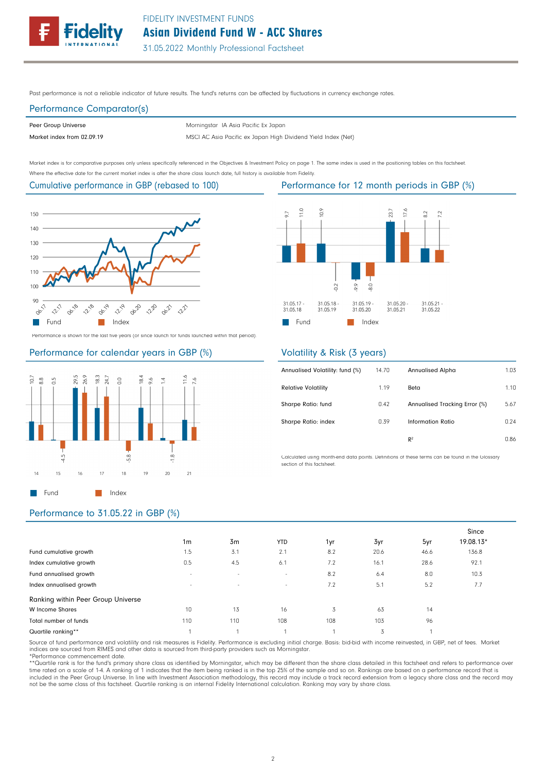Past performance is not a reliable indicator of future results. The fund's returns can be affected by fluctuations in currency exchange rates.

# Performance Comparator(s)

| Peer Group Universe |  |
|---------------------|--|
|---------------------|--|

Market index from 02.09.19 MSCI AC Asia Pacific ex Japan High Dividend Yield Index (Net) Morningstar IA Asia Pacific Ex Japan

Market index is for comparative purposes only unless specifically referenced in the Objectives & Investment Policy on page 1. The same index is used in the positioning tables on this factsheet. Where the effective date for the current market index is after the share class launch date, full history is available from Fidelity.

### Cumulative performance in GBP (rebased to 100)



Performance is shown for the last five years (or since launch for funds launched within that period).

### Performance for calendar years in GBP (%)





# Volatility & Risk (3 years)

| Annualised Volatility: fund (%) | 14.70 | Annualised Alpha              | 1.03 |
|---------------------------------|-------|-------------------------------|------|
| <b>Relative Volatility</b>      | 1.19  | Beta                          | 1.10 |
| Sharpe Ratio: fund              | 0.42  | Annualised Tracking Error (%) | 5.67 |
| Sharpe Ratio: index             | 0.39  | Information Ratio             | 0.24 |
|                                 |       | R <sup>2</sup>                | 0.86 |

Calculated using month-end data points. Definitions of these terms can be found in the Glossary section of this factsheet.

# Performance to 31.05.22 in GBP (%)

|                                    |                          |        |            |     |      |      | Since     |
|------------------------------------|--------------------------|--------|------------|-----|------|------|-----------|
|                                    | 1 <sub>m</sub>           | 3m     | <b>YTD</b> | 1yr | 3yr  | 5yr  | 19.08.13* |
| Fund cumulative growth             | 1.5                      | 3.1    | 2.1        | 8.2 | 20.6 | 46.6 | 136.8     |
| Index cumulative growth            | 0.5                      | 4.5    | 6.1        | 7.2 | 16.1 | 28.6 | 92.1      |
| Fund annualised growth             | $\sim$                   | $\sim$ | $\sim$     | 8.2 | 6.4  | 8.0  | 10.3      |
| Index annualised growth            | $\overline{\phantom{a}}$ | $\sim$ | $\sim$     | 7.2 | 5.1  | 5.2  | 7.7       |
| Ranking within Peer Group Universe |                          |        |            |     |      |      |           |
| W Income Shares                    | 10                       | 13     | 16         | 3   | 63   | 14   |           |
| Total number of funds              | 110                      | 110    | 108        | 108 | 103  | 96   |           |
| Quartile ranking**                 |                          |        |            |     | 3    |      |           |

Source of fund performance and volatility and risk measures is Fidelity. Performance is excluding initial charge. Basis: bid-bid with income reinvested, in GBP, net of fees. Market indices are sourced from RIMES and other data is sourced from third-party providers such as Morningstar.

\*Performance commencement date.

\*\*Quartile rank is for the fund's primary share class as identified by Morningstar, which may be different than the share class detailed in this factsheet and refers to performance over time rated on a scale of 1-4. A ranking of 1 indicates that the item being ranked is in the top 25% of the sample and so on. Rankings are based on a performance record that is<br>included in the Peer Group Universe. In line w not be the same class of this factsheet. Quartile ranking is an internal Fidelity International calculation. Ranking may vary by share class.

### Performance for 12 month periods in GBP (%)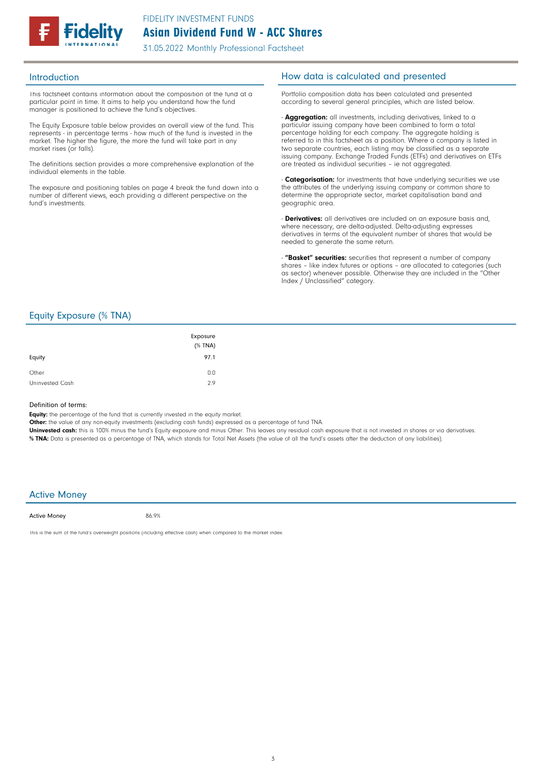

This factsheet contains information about the composition of the fund at a particular point in time. It aims to help you understand how the fund manager is positioned to achieve the fund's objectives.

The Equity Exposure table below provides an overall view of the fund. This represents - in percentage terms - how much of the fund is invested in the market. The higher the figure, the more the fund will take part in any market rises (or falls).

The definitions section provides a more comprehensive explanation of the individual elements in the table.

The exposure and positioning tables on page 4 break the fund down into a number of different views, each providing a different perspective on the fund's investments.

### Introduction **Introduction How data is calculated and presented**

Portfolio composition data has been calculated and presented according to several general principles, which are listed below.

- **Aggregation:** all investments, including derivatives, linked to a particular issuing company have been combined to form a total percentage holding for each company. The aggregate holding is referred to in this factsheet as a position. Where a company is listed in two separate countries, each listing may be classified as a separate issuing company. Exchange Traded Funds (ETFs) and derivatives on ETFs are treated as individual securities – ie not aggregated.

**Categorisation:** for investments that have underlying securities we use the attributes of the underlying issuing company or common share to determine the appropriate sector, market capitalisation band and geographic area.

- **Derivatives:** all derivatives are included on an exposure basis and, where necessary, are delta-adjusted. Delta-adjusting expresses derivatives in terms of the equivalent number of shares that would be needed to generate the same return.

"Basket" securities: securities that represent a number of company shares - like index futures or options - are allocated to categories (such as sector) whenever possible. Otherwise they are included in the "Other Index / Unclassified" category.

### Equity Exposure (% TNA)

| Equity                   | Exposure<br>$(%$ (% TNA)<br>97.1 |
|--------------------------|----------------------------------|
| Other<br>Uninvested Cash | 0.0<br>2.9                       |
|                          |                                  |

### Definition of terms:

Equity: the percentage of the fund that is currently invested in the equity market.

Other: the value of any non-equity investments (excluding cash funds) expressed as a percentage of fund TNA.

Uninvested cash: this is 100% minus the fund's Equity exposure and minus Other. This leaves any residual cash exposure that is not invested in shares or via derivatives. % TNA: Data is presented as a percentage of TNA, which stands for Total Net Assets (the value of all the fund's assets after the deduction of any liabilities).

### Active Money

Active Money

86.9%

This is the sum of the fund's overweight positions (including effective cash) when compared to the market index.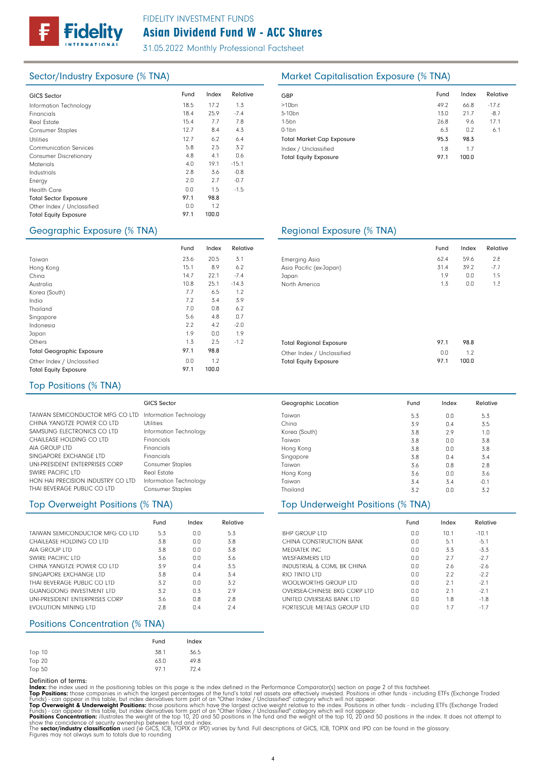

# Asian Dividend Fund W - ACC Shares FIDELITY INVESTMENT FUNDS

31.05.2022 Monthly Professional Factsheet

| <b>GICS Sector</b>            | Fund | Index | Relative | GBP              |
|-------------------------------|------|-------|----------|------------------|
| Information Technology        | 18.5 | 17.2  | 1.3      | >10 <sub>k</sub> |
| Financials                    | 18.4 | 25.9  | $-7.4$   | $5 - 10$         |
| Real Estate                   | 15.4 | 7.7   | 7.8      | 1-5b             |
| <b>Consumer Staples</b>       | 12.7 | 8.4   | 4.3      | $0-1b$           |
| <b>Utilities</b>              | 12.7 | 6.2   | 6.4      | Tota             |
| Communication Services        | 5.8  | 2.5   | 3.2      | Inde             |
| <b>Consumer Discretionary</b> | 4.8  | 4.1   | 0.6      | Tota             |
| <b>Materials</b>              | 4.0  | 19.1  | $-15.1$  |                  |
| Industrials                   | 2.8  | 3.6   | $-0.8$   |                  |
| Energy                        | 2.0  | 2.7   | $-0.7$   |                  |
| <b>Health Care</b>            | 0.0  | 1.5   | $-1.5$   |                  |
| <b>Total Sector Exposure</b>  | 97.1 | 98.8  |          |                  |
| Other Index / Unclassified    | 0.0  | 1.2   |          |                  |
| <b>Total Equity Exposure</b>  | 97.1 | 100.0 |          |                  |
|                               |      |       |          |                  |

# Sector/Industry Exposure (% TNA) Market Capitalisation Exposure (% TNA)

| GBP                              | Fund | Index | Relative |
|----------------------------------|------|-------|----------|
| $>10$ bn                         | 49.2 | 66.8  | $-17.6$  |
| 5-10 <sub>bn</sub>               | 13.0 | 21.7  | $-8.7$   |
| $1-5$ bn                         | 26.8 | 9.6   | 17.1     |
| $0-1$ bn                         | 6.3  | 0.2   | 6.1      |
| <b>Total Market Cap Exposure</b> | 95.3 | 98.3  |          |
| Index / Unclassified             | 1.8  | 1.7   |          |
| <b>Total Equity Exposure</b>     | 97.1 | 100.0 |          |

### Geographic Exposure (% TNA) Regional Exposure (% TNA)

|                                  | Fund | Index | Relative |                 |
|----------------------------------|------|-------|----------|-----------------|
| Taiwan                           | 23.6 | 20.5  | 3.1      | Emergin         |
| Hong Kong                        | 15.1 | 8.9   | 6.2      | Asia Pa         |
| China                            | 14.7 | 22.1  | $-7.4$   | Japan           |
| Australia                        | 10.8 | 25.1  | $-14.3$  | North A         |
| Korea (South)                    | 7.7  | 6.5   | 1.2      |                 |
| India                            | 7.2  | 3.4   | 3.9      |                 |
| Thailand                         | 7.0  | 0.8   | 6.2      |                 |
| Singapore                        | 5.6  | 4.8   | 0.7      |                 |
| Indonesia                        | 2.2  | 4.2   | $-2.0$   |                 |
| Japan                            | 1.9  | 0.0   | 1.9      |                 |
| Others                           | 1.3  | 2.5   | $-1.2$   | Total Re        |
| <b>Total Geographic Exposure</b> | 97.1 | 98.8  |          | Other In        |
| Other Index / Unclassified       | 0.0  | 1.2   |          | <b>Total Ed</b> |
| <b>Total Equity Exposure</b>     | 97.1 | 100.0 |          |                 |

|                                | Fund | Index | Relative |
|--------------------------------|------|-------|----------|
| <b>Emerging Asia</b>           | 62.4 | 59.6  | 2.8      |
| Asia Pacific (ex-Japan)        | 31.4 | 39.2  | $-7.7$   |
| Japan                          | 1.9  | 0.0   | 1.9      |
| North America                  | 1.3  | 0.0   | 1.3      |
|                                |      |       |          |
|                                |      |       |          |
| <b>Total Regional Exposure</b> | 97.1 | 98.8  |          |
| Other Index / Unclassified     | 0.0  | 1.2   |          |
| <b>Total Equity Exposure</b>   | 97.1 | 100.0 |          |

### Top Positions (% TNA)

|                                   | GICS Sector             |
|-----------------------------------|-------------------------|
| TAIWAN SEMICONDUCTOR MFG CO LTD   | Information Technology  |
| CHINA YANGTZE POWER CO LTD        | Utilities               |
| SAMSUNG ELECTRONICS CO LTD        | Information Technology  |
| CHAILFASE HOLDING CO LTD          | Financials              |
| AIA GROUP LTD                     | Financials              |
| SINGAPORE EXCHANGE LTD            | Financials              |
| UNI-PRESIDENT ENTERPRISES CORP    | <b>Consumer Staples</b> |
| SWIRE PACIFIC LTD                 | <b>Real Estate</b>      |
| HON HAI PRECISION INDUSTRY CO LTD | Information Technology  |
| THAI BEVERAGE PUBLIC CO LTD       | <b>Consumer Staples</b> |

|                                 | Fund | Index | Relative |
|---------------------------------|------|-------|----------|
| TAIWAN SEMICONDUCTOR MEG CO LTD | 5.3  | 0.0   | 5.3      |
| CHAILFASE HOLDING CO LTD        | 3.8  | 0.0   | 3.8      |
| AIA GROUP LTD                   | 3.8  | 0.0   | 3.8      |
| SWIRE PACIFIC LTD               | 3.6  | 0.0   | 3.6      |
| CHINA YANGTZE POWER CO LTD      | 3.9  | 0.4   | 3.5      |
| SINGAPORE EXCHANGE LTD          | 3.8  | 0.4   | 3.4      |
| THAI BEVERAGE PUBLIC CO LTD     | 3.2  | 0.0   | 3.2      |
| <b>GUANGDONG INVESTMENT LTD</b> | 3.2  | 0.3   | 2.9      |
| UNI-PRESIDENT ENTERPRISES CORP  | 3.6  | 0.8   | 2.8      |
| <b>FVOLUTION MINING LTD</b>     | 2.8  | 0.4   | 7.4      |

### Positions Concentration (% TNA)

|        | Fund | Index |
|--------|------|-------|
| Top 10 | 38.1 | 36.5  |
| Top 20 | 63.0 | 49.8  |
| Top 50 | 971  | 72.4  |

Definition of terms:<br>
Top Positions: these din the positioning tables on this page is the index defined in the Performance Comparator(s) section on page 2 of this factsheet.<br>
ITOP Positions: those companies in which the la

### Taiwan China Geographic Location 0.0 0.4 Fund Index Relative 5.3 3.9

| China         | 3.9 | 0.4 | 3.5    |  |
|---------------|-----|-----|--------|--|
| Korea (South) | 3.8 | 2.9 | 1.0    |  |
| Taiwan        | 3.8 | 0.0 | 3.8    |  |
| Hong Kong     | 3.8 | 0.0 | 3.8    |  |
| Singapore     | 3.8 | 0.4 | 3.4    |  |
| Taiwan        | 3.6 | 0.8 | 2.8    |  |
| Hong Kong     | 3.6 | 0.0 | 3.6    |  |
| Taiwan        | 3.4 | 3.4 | $-0.1$ |  |
| Thailand      | 3.2 | 0.0 | 3.2    |  |
|               |     |     |        |  |

5.3

# Top Overweight Positions (% TNA) Top Underweight Positions (% TNA)

|                              | Fund | Index | Relative |
|------------------------------|------|-------|----------|
| <b>BHP GROUP LTD</b>         | 0.0  | 10.1  | $-10.1$  |
| CHINA CONSTRUCTION BANK      | 0.0  | 5.1   | $-5.1$   |
| <b>MEDIATEK INC.</b>         | 0.0  | 3.3   | $-5.3$   |
| <b>WESEARMERS LTD</b>        | 0.0  | 2.7   | $-2.7$   |
| INDUSTRIAL & COML BK CHINA   | 0.0  | 2.6   | $-2.6$   |
| RIO TINTO LTD                | 0.0  | 22    | $-2.2$   |
| WOOLWORTHS GROUP LTD         | 0.0  | 21    | $-21$    |
| OVERSEA-CHINESE BKG CORP LTD | 0.0  | 2.1   | $-2.1$   |
| UNITED OVERSEAS BANK LTD     | 0.0  | 1.8   | $-1.8$   |
| FORTESCUE METALS GROUP LTD   | 0.0  | 17    | $-1.7$   |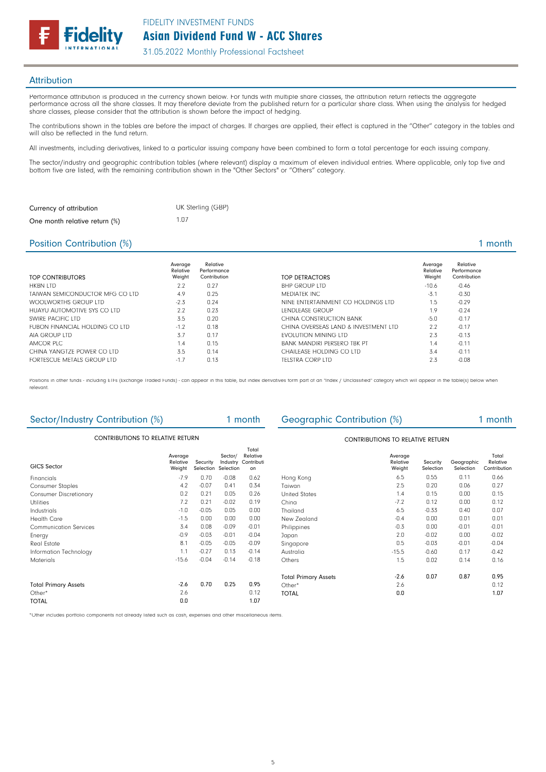

### **Attribution**

Performance attribution is produced in the currency shown below. For funds with multiple share classes, the attribution return reflects the aggregate performance across all the share classes. It may therefore deviate from the published return for a particular share class. When using the analysis for hedged share classes, please consider that the attribution is shown before the impact of hedging.

The contributions shown in the tables are before the impact of charges. If charges are applied, their effect is captured in the "Other" category in the tables and will also be reflected in the fund return.

All investments, including derivatives, linked to a particular issuing company have been combined to form a total percentage for each issuing company.

The sector/industry and geographic contribution tables (where relevant) display a maximum of eleven individual entries. Where applicable, only top five and bottom five are listed, with the remaining contribution shown in the "Other Sectors" or "Others" category.

| Currency of attribution       | UK Sterling (GBP) |
|-------------------------------|-------------------|
| One month relative return (%) | 1 N 7             |

### Position Contribution (%) 1 month

|          |             | . |
|----------|-------------|---|
|          |             |   |
|          |             |   |
| Average  | Relative    |   |
| Polative | Performance |   |

|                                 | Average<br>Relative | Relative<br>Performance |                                      | Average<br>Relative | Relative<br>Performance |
|---------------------------------|---------------------|-------------------------|--------------------------------------|---------------------|-------------------------|
| TOP CONTRIBUTORS                | Weight              | Contribution            | TOP DETRACTORS                       | Weight              | Contribution            |
| <b>HKBN LTD</b>                 | 2.2                 | 0.27                    | <b>BHP GROUP LTD</b>                 | $-10.6$             | $-0.46$                 |
| TAIWAN SEMICONDUCTOR MFG CO LTD | 4.9                 | 0.25                    | MEDIATEK INC.                        | $-3.1$              | $-0.30$                 |
| WOOLWORTHS GROUP LTD            | $-2.3$              | 0.24                    | NINE ENTERTAINMENT CO HOLDINGS LTD   | 1.5                 | $-0.29$                 |
| HUAYU AUTOMOTIVE SYS CO LTD     | 2.2                 | 0.23                    | LENDLEASE GROUP                      | 1.9                 | $-0.24$                 |
| SWIRE PACIFIC LTD               | 3.5                 | 0.20                    | CHINA CONSTRUCTION BANK              | $-5.0$              | $-0.17$                 |
| FURON FINANCIAL HOLDING CO LTD  | $-1.2$              | 0.18                    | CHINA OVERSEAS LAND & INVESTMENT LTD | 2.2                 | $-0.17$                 |
| AIA GROUP LTD                   | 3.7                 | 0.17                    | <b>FVOLUTION MINING LTD</b>          | 2.3                 | $-0.13$                 |
| AMCOR PLC                       | 1.4                 | 0.15                    | BANK MANDIRI PERSERO TBK PT          | 1.4                 | $-0.11$                 |
| CHINA YANGTZE POWER CO LTD      | 3.5                 | 0.14                    | CHAILEASE HOLDING CO LTD             | 3.4                 | $-0.11$                 |
| FORTESCUE METALS GROUP LTD      | $-1.7$              | 0.13                    | TELSTRA CORP LTD                     | 2.3                 | $-0.08$                 |

Positions in other funds - including ETFs (Exchange Traded Funds) - can appear in this table, but index derivatives form part of an "Index / Unclassified" category which will appear in the table(s) below when relevant.

| Sector/Industry Contribution (%) |                               |                       |                                         | 1 month                               | Geographic Contribution (%) |                               |                       |                         | 1 month                           |
|----------------------------------|-------------------------------|-----------------------|-----------------------------------------|---------------------------------------|-----------------------------|-------------------------------|-----------------------|-------------------------|-----------------------------------|
| CONTRIBUTIONS TO RELATIVE RETURN |                               |                       | <b>CONTRIBUTIONS TO RELATIVE RETURN</b> |                                       |                             |                               |                       |                         |                                   |
| <b>GICS Sector</b>               | Average<br>Relative<br>Weight | Security<br>Selection | Sector/<br>Industry<br>Selection        | Total<br>Relative<br>Contributi<br>on |                             | Average<br>Relative<br>Weight | Security<br>Selection | Geographic<br>Selection | Total<br>Relative<br>Contribution |
| Financials                       | $-7.9$                        | 0.70                  | $-0.08$                                 | 0.62                                  | Hong Kong                   | 6.5                           | 0.55                  | 0.11                    | 0.66                              |
| <b>Consumer Staples</b>          | 4.2                           | $-0.07$               | 0.41                                    | 0.34                                  | Taiwan                      | 2.5                           | 0.20                  | 0.06                    | 0.27                              |
| <b>Consumer Discretionary</b>    | 0.2                           | 0.21                  | 0.05                                    | 0.26                                  | <b>United States</b>        | 1.4                           | 0.15                  | 0.00                    | 0.15                              |
| <b>Utilities</b>                 | 7.2                           | 0.21                  | $-0.02$                                 | 0.19                                  | China                       | $-7.2$                        | 0.12                  | 0.00                    | 0.12                              |
| Industrials                      | $-1.0$                        | $-0.05$               | 0.05                                    | 0.00                                  | Thailand                    | 6.5                           | $-0.33$               | 0.40                    | 0.07                              |
| <b>Health Care</b>               | $-1.5$                        | 0.00                  | 0.00                                    | 0.00                                  | New Zealand                 | $-0.4$                        | 0.00                  | 0.01                    | 0.01                              |
| <b>Communication Services</b>    | 3.4                           | 0.08                  | $-0.09$                                 | $-0.01$                               | Philippines                 | $-0.3$                        | 0.00                  | $-0.01$                 | $-0.01$                           |
| Energy                           | $-0.9$                        | $-0.03$               | $-0.01$                                 | $-0.04$                               | Japan                       | 2.0                           | $-0.02$               | 0.00                    | $-0.02$                           |
| <b>Real Estate</b>               | 8.1                           | $-0.05$               | $-0.05$                                 | $-0.09$                               | Singapore                   | 0.5                           | $-0.03$               | $-0.01$                 | $-0.04$                           |
| Information Technology           | 1.1                           | $-0.27$               | 0.13                                    | $-0.14$                               | Australia                   | $-15.5$                       | $-0.60$               | 0.17                    | $-0.42$                           |
| <b>Materials</b>                 | $-15.6$                       | $-0.04$               | $-0.14$                                 | $-0.18$                               | Others                      | 1.5                           | 0.02                  | 0.14                    | 0.16                              |
|                                  |                               |                       |                                         |                                       | <b>Total Primary Assets</b> | $-2.6$                        | 0.07                  | 0.87                    | 0.95                              |
| <b>Total Primary Assets</b>      | $-2.6$                        | 0.70                  | 0.25                                    | 0.95                                  | Other*                      | 2.6                           |                       |                         | 0.12                              |
| Other*                           | 2.6                           |                       |                                         | 0.12                                  | <b>TOTAL</b>                | 0.0                           |                       |                         | 1.07                              |
| <b>TOTAL</b>                     | 0.0                           |                       |                                         | 1.07                                  |                             |                               |                       |                         |                                   |

\*Other includes portfolio components not already listed such as cash, expenses and other miscellaneous items.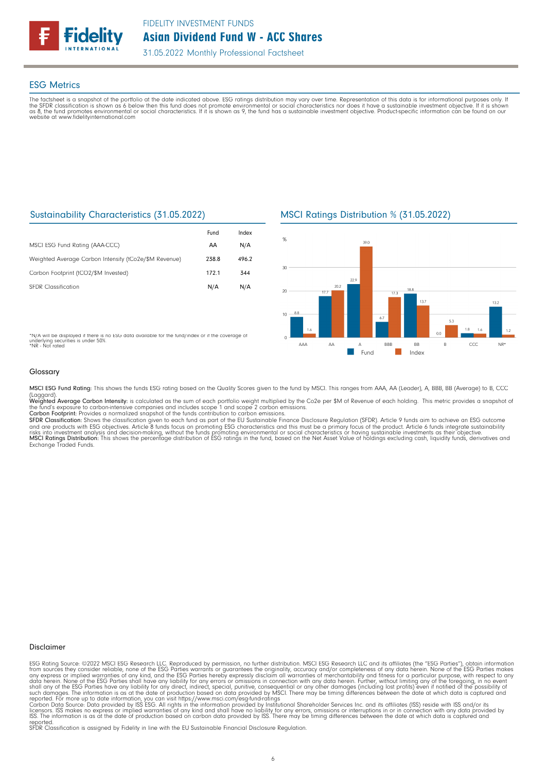

### ESG Metrics

The factsheet is a snapshot of the portfolio at the date indicated above. ESG ratings distribution may vary over time. Representation of this data is for informational purposes only. If<br>the SFDR classification is shown as website at www.fidelityinternational.com

### Sustainability Characteristics (31.05.2022)

|                                                       | Fund  | Index |
|-------------------------------------------------------|-------|-------|
| MSCI ESG Fund Rating (AAA-CCC)                        | AA    | N/A   |
| Weighted Average Carbon Intensity (tCo2e/\$M Revenue) | 238.8 | 496.2 |
| Carbon Footprint (tCO2/\$M Invested)                  | 172.1 | 344   |
| <b>SFDR Classification</b>                            | N/A   | N/A   |

\*N/A will be displayed if there is no ESG data available for the fund/index or if the coverage of underlying securities is under 50%. \*NR - Not rated

# MSCI Ratings Distribution % (31.05.2022)



### Glossary

MSCI ESG Fund Rating: This shows the funds ESG rating based on the Quality Scores given to the fund by MSCI. This ranges from AAA, AA (Leader), A, BBB, BB (Average) to B, CCC

(Laggard).<br>**Weighted Average Carbon Intensity**: is calculated as the sum of each portfolio weight multiplied by the Co2e per \$M of Revenue of each holding. This metric provides a snapshot o

the fund's exposure to carbon-intensive companies and includes scope 1 and scope 2 carbon emissions.<br>**Carbon Footprint**: Provides a normalized snapshot of the funds contribution to carbon emissions.<br>**SFDR Classification:** and are products with ESG objectives. Article 8 funds focus on promoting ESG characteristics and this must be a primary focus of the product. Article 6 funds integrate sustainability<br>risks into investment analysis and deci

### Disclaimer

ESG Rating Source: ©2022 MSCI ESG Research LLC. Reproduced by permission, no further distribution. MSCI ESG Research LLC and its affiliates (the "ESG Parties"), obtain information<br>from sources they consider reliable, none

reported. SFDR Classification is assigned by Fidelity in line with the EU Sustainable Financial Disclosure Regulation.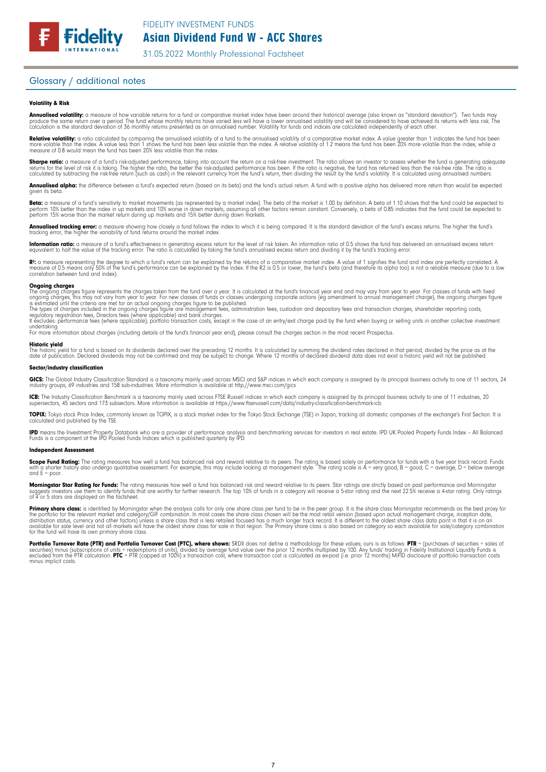### Glossary / additional notes

### Volatility & Risk

**Annualised volatility:** a measure of how variable returns for a fund or comparative market index have been around their historical average (also known as "standard deviation"). Two funds may<br>produce the same return over a calculation is the standard deviation of 36 monthly returns presented as an annualised number. Volatility for funds and indices are calculated independently of each other

**Relative volatility:** a ratio calculated by comparing the annualised volatility of a fund to the annualised volatility of a comparative market index. A value greater than 1 indicates the fund has been<br>more volatile than t measure of 0.8 would mean the fund has been 20% less volatile than the index.

**Sharpe ratio:** a measure of a fund's risk-adjusted performance, taking into account the return on a risk-free investment. The ratio allows an investor to assess whether the fund is generating adequate the tund is generati

Annualised alpha: the difference between a fund's expected return (based on its beta) and the fund's actual return. A fund with a positive alpha has delivered more return than would be expected given its beta

**Beta:** a measure of a fund's sensitivity to market movements (as represented by a market index). The beta of the market is 1.00 by definition. A beta of 1.10 shows that the fund could be expected to<br>perform 10% better tha perform 15% worse than the market return during up markets and 15% better during down markets.

**Annualised tracking error:** a measure showing how closely a tund tollows the index to which it is being compared. It is the standard deviation of the fund's excess returns. The higher the fund's<br>tracking error, the higher

**Information ratio:** a measure ot a tund's eftectiveness in generating excess return for the level of risk taken. An information ratio of U.5 shows the fund has delivered an annualised excess return<br>equivalent to half the

Rº: a measure representing the degree to which a fund's return can be explained by the returns of a comparative market index. A value of 1 signifies the fund and index are perfectly correlated. A<br>measure of 0.5 means only correlation between fund and index).

**Ongoing charges** figure represents the charges taken from the fund over a year. It is calculated at the fund's financial year end and may vary from year to year. For classes of funds with fixed ongoing charges figure repr

For more information about charges (including details of the fund's financial year end), please consult the charges section in the most recent Prospectus.

**Historic yield**<br>The historic yield for a fund is based on its dividends declared over the preceding 12 months. It is calculated by summing the dividend rates declared in that period, divided by the price as at the date of publication. Declared dividends may not be confirmed and may be subject to change. Where 12 months of declared dividend data does not exist a historic yield will not be published.

### Sector/industry classification

GICS: The Global Industry Classification Standard is a taxonomy mainly used across MSCI and S&P indices in which each company is assigned by its principal business activity to one of 11 sectors, 24 industry groups, 69 industries and 158 sub-industries. More information is available at http://www.msci.com/gics

**ICB:** The Industry Classitication Benchmark is a taxonomy mainly used across FTSE Russell indices in which each company is assigned by its principal business activity to one of 11 industries, 20<br>supersectors, 45 sectors a

TOPIX: Tokyo stock Price Index, commonly known as TOPIX, is a stock market index for the Tokyo Stock Exchange (TSE) in Japan, tracking all domestic companies of the exchange's First Section. It is calculated and published by the TSE.

**IPD** means the Investment Property Databank who are a provider of performance analysis and benchmarking services for investors in real estate. IPD UK Pooled Property Funds Index - All Balanced<br>Funds is a component of the

### Independent Assessment

**Scope Fund Rating:** The rating measures how well a fund has balanced risk and reward relative to its peers. The rating is based solely on performance for funds with a five year track record. Funds<br>with a shorter history a and  $E = poor$ 

**Morningstar Star Rating for Funds:** The rating measures how well a tund has balanced risk and reward relative to its peers. Star ratings are strictly based on past performance and Morningstar<br>suggests investors use them t

**Primary share class:** is identified by Morningstar when the analysis calls for only one share class per fund to be in the peer group. It is the share class Morningstar recommends as the best proxy for the best proxy for c for the fund will have its own primary share class.

Portfolio Turnover Rate (PTR) and Portfolio Turnover Cost (PTC), where shown: SRDII does not define a methodology for these values; ours is as follows: PTR = (purchases of securities + sales of<br>securities) minus (subscript minus implicit costs.